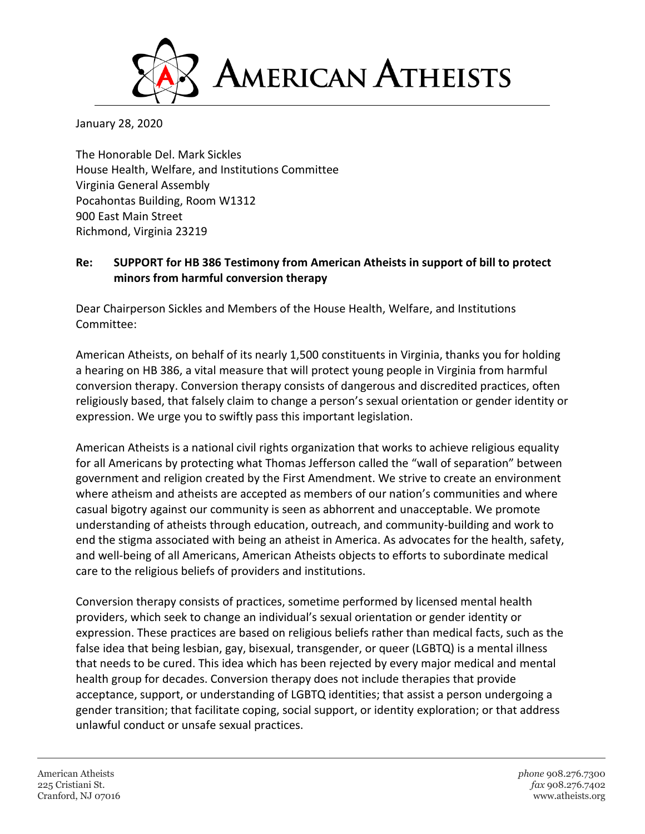

January 28, 2020

The Honorable Del. Mark Sickles House Health, Welfare, and Institutions Committee Virginia General Assembly Pocahontas Building, Room W1312 900 East Main Street Richmond, Virginia 23219

## **Re: SUPPORT for HB 386 Testimony from American Atheists in support of bill to protect minors from harmful conversion therapy**

Dear Chairperson Sickles and Members of the House Health, Welfare, and Institutions Committee:

American Atheists, on behalf of its nearly 1,500 constituents in Virginia, thanks you for holding a hearing on HB 386, a vital measure that will protect young people in Virginia from harmful conversion therapy. Conversion therapy consists of dangerous and discredited practices, often religiously based, that falsely claim to change a person's sexual orientation or gender identity or expression. We urge you to swiftly pass this important legislation.

American Atheists is a national civil rights organization that works to achieve religious equality for all Americans by protecting what Thomas Jefferson called the "wall of separation" between government and religion created by the First Amendment. We strive to create an environment where atheism and atheists are accepted as members of our nation's communities and where casual bigotry against our community is seen as abhorrent and unacceptable. We promote understanding of atheists through education, outreach, and community-building and work to end the stigma associated with being an atheist in America. As advocates for the health, safety, and well-being of all Americans, American Atheists objects to efforts to subordinate medical care to the religious beliefs of providers and institutions.

Conversion therapy consists of practices, sometime performed by licensed mental health providers, which seek to change an individual's sexual orientation or gender identity or expression. These practices are based on religious beliefs rather than medical facts, such as the false idea that being lesbian, gay, bisexual, transgender, or queer (LGBTQ) is a mental illness that needs to be cured. This idea which has been rejected by every major medical and mental health group for decades. Conversion therapy does not include therapies that provide acceptance, support, or understanding of LGBTQ identities; that assist a person undergoing a gender transition; that facilitate coping, social support, or identity exploration; or that address unlawful conduct or unsafe sexual practices.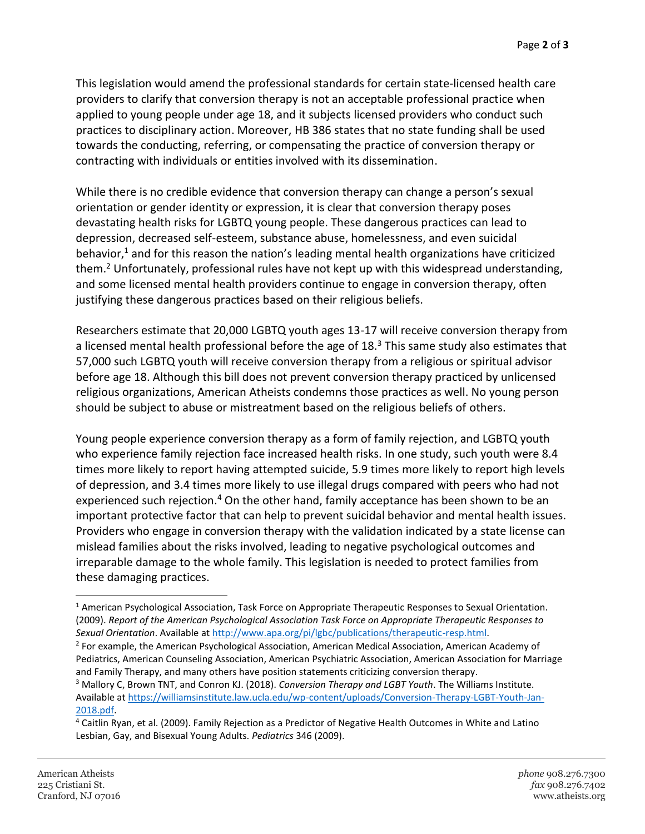This legislation would amend the professional standards for certain state-licensed health care providers to clarify that conversion therapy is not an acceptable professional practice when applied to young people under age 18, and it subjects licensed providers who conduct such practices to disciplinary action. Moreover, HB 386 states that no state funding shall be used towards the conducting, referring, or compensating the practice of conversion therapy or contracting with individuals or entities involved with its dissemination.

While there is no credible evidence that conversion therapy can change a person's sexual orientation or gender identity or expression, it is clear that conversion therapy poses devastating health risks for LGBTQ young people. These dangerous practices can lead to depression, decreased self-esteem, substance abuse, homelessness, and even suicidal behavior, $1$  and for this reason the nation's leading mental health organizations have criticized them.<sup>2</sup> Unfortunately, professional rules have not kept up with this widespread understanding, and some licensed mental health providers continue to engage in conversion therapy, often justifying these dangerous practices based on their religious beliefs.

Researchers estimate that 20,000 LGBTQ youth ages 13-17 will receive conversion therapy from a licensed mental health professional before the age of  $18<sup>3</sup>$  This same study also estimates that 57,000 such LGBTQ youth will receive conversion therapy from a religious or spiritual advisor before age 18. Although this bill does not prevent conversion therapy practiced by unlicensed religious organizations, American Atheists condemns those practices as well. No young person should be subject to abuse or mistreatment based on the religious beliefs of others.

Young people experience conversion therapy as a form of family rejection, and LGBTQ youth who experience family rejection face increased health risks. In one study, such youth were 8.4 times more likely to report having attempted suicide, 5.9 times more likely to report high levels of depression, and 3.4 times more likely to use illegal drugs compared with peers who had not experienced such rejection.<sup>4</sup> On the other hand, family acceptance has been shown to be an important protective factor that can help to prevent suicidal behavior and mental health issues. Providers who engage in conversion therapy with the validation indicated by a state license can mislead families about the risks involved, leading to negative psychological outcomes and irreparable damage to the whole family. This legislation is needed to protect families from these damaging practices.

 $\overline{\phantom{a}}$ 

<sup>1</sup> American Psychological Association, Task Force on Appropriate Therapeutic Responses to Sexual Orientation. (2009). *Report of the American Psychological Association Task Force on Appropriate Therapeutic Responses to Sexual Orientation*. Available a[t http://www.apa.org/pi/lgbc/publications/therapeutic-resp.html.](http://www.apa.org/pi/lgbc/publications/therapeutic-resp.html)

<sup>&</sup>lt;sup>2</sup> For example, the American Psychological Association, American Medical Association, American Academy of Pediatrics, American Counseling Association, American Psychiatric Association, American Association for Marriage and Family Therapy, and many others have position statements criticizing conversion therapy.

<sup>3</sup> Mallory C, Brown TNT, and Conron KJ. (2018). *Conversion Therapy and LGBT Youth*. The Williams Institute. Available a[t https://williamsinstitute.law.ucla.edu/wp-content/uploads/Conversion-Therapy-LGBT-Youth-Jan-](https://williamsinstitute.law.ucla.edu/wp-content/uploads/Conversion-Therapy-LGBT-Youth-Jan-2018.pdf)[2018.pdf.](https://williamsinstitute.law.ucla.edu/wp-content/uploads/Conversion-Therapy-LGBT-Youth-Jan-2018.pdf)

<sup>4</sup> Caitlin Ryan, et al. (2009). Family Rejection as a Predictor of Negative Health Outcomes in White and Latino Lesbian, Gay, and Bisexual Young Adults. *Pediatrics* 346 (2009).